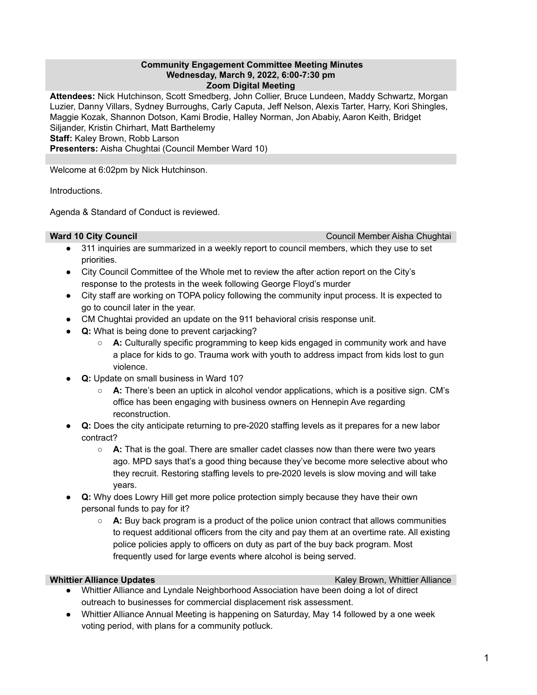## **Community Engagement Committee Meeting Minutes Wednesday, March 9, 2022, 6:00-7:30 pm Zoom Digital Meeting**

**Attendees:** Nick Hutchinson, Scott Smedberg, John Collier, Bruce Lundeen, Maddy Schwartz, Morgan Luzier, Danny Villars, Sydney Burroughs, Carly Caputa, Jeff Nelson, Alexis Tarter, Harry, Kori Shingles, Maggie Kozak, Shannon Dotson, Kami Brodie, Halley Norman, Jon Ababiy, Aaron Keith, Bridget Siljander, Kristin Chirhart, Matt Barthelemy **Staff:** Kaley Brown, Robb Larson **Presenters:** Aisha Chughtai (Council Member Ward 10)

Welcome at 6:02pm by Nick Hutchinson.

Introductions.

Agenda & Standard of Conduct is reviewed.

**Ward 10 City Council** Council Member Aisha Chughtai

- 311 inquiries are summarized in a weekly report to council members, which they use to set priorities.
- City Council Committee of the Whole met to review the after action report on the City's response to the protests in the week following George Floyd's murder
- City staff are working on TOPA policy following the community input process. It is expected to go to council later in the year.
- CM Chughtai provided an update on the 911 behavioral crisis response unit.
- **● Q:** What is being done to prevent carjacking?
	- **A:** Culturally specific programming to keep kids engaged in community work and have a place for kids to go. Trauma work with youth to address impact from kids lost to gun violence.
- **Q:** Update on small business in Ward 10?
	- **A:** There's been an uptick in alcohol vendor applications, which is a positive sign. CM's office has been engaging with business owners on Hennepin Ave regarding reconstruction.
- **Q:** Does the city anticipate returning to pre-2020 staffing levels as it prepares for a new labor contract?
	- **A:** That is the goal. There are smaller cadet classes now than there were two years ago. MPD says that's a good thing because they've become more selective about who they recruit. Restoring staffing levels to pre-2020 levels is slow moving and will take years.
- **Q:** Why does Lowry Hill get more police protection simply because they have their own personal funds to pay for it?
	- **A:** Buy back program is a product of the police union contract that allows communities to request additional officers from the city and pay them at an overtime rate. All existing police policies apply to officers on duty as part of the buy back program. Most frequently used for large events where alcohol is being served.

**Whittier Alliance Updates Kaley Brown, Whittier Alliance** Kaley Brown, Whittier Alliance

- Whittier Alliance and Lyndale Neighborhood Association have been doing a lot of direct outreach to businesses for commercial displacement risk assessment.
- Whittier Alliance Annual Meeting is happening on Saturday, May 14 followed by a one week voting period, with plans for a community potluck.